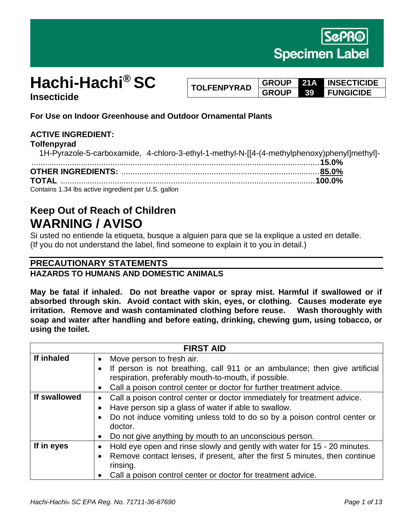

# **Hachi-Hachi® SC Insecticide**

**TOLFENPYRAD GROUP 21A INSECTICIDE GROUP 39 FUNGICIDE**

**For Use on Indoor Greenhouse and Outdoor Ornamental Plants**

## **ACTIVE INGREDIENT:**

#### **Tolfenpyrad**

| 1H-Pyrazole-5-carboxamide, 4-chloro-3-ethyl-1-methyl-N-[[4-(4-methylphenoxy)phenyl]methyl]- |  |
|---------------------------------------------------------------------------------------------|--|
|                                                                                             |  |
|                                                                                             |  |
|                                                                                             |  |
| Contains 1.34 lbs active ingredient per U.S. gallon                                         |  |

# **Keep Out of Reach of Children WARNING / AVISO**

Si usted no entiende la etiqueta, busque a alguien para que se la explique a usted en detalle. (If you do not understand the label, find someone to explain it to you in detail.)

## **PRECAUTIONARY STATEMENTS**

## **HAZARDS TO HUMANS AND DOMESTIC ANIMALS**

**May be fatal if inhaled. Do not breathe vapor or spray mist. Harmful if swallowed or if absorbed through skin. Avoid contact with skin, eyes, or clothing. Causes moderate eye irritation. Remove and wash contaminated clothing before reuse. Wash thoroughly with soap and water after handling and before eating, drinking, chewing gum, using tobacco, or using the toilet.** 

| <b>FIRST AID</b> |                                                                                                                                                                                                                                                                                     |  |
|------------------|-------------------------------------------------------------------------------------------------------------------------------------------------------------------------------------------------------------------------------------------------------------------------------------|--|
| If inhaled       | Move person to fresh air.                                                                                                                                                                                                                                                           |  |
|                  | If person is not breathing, call 911 or an ambulance; then give artificial<br>respiration, preferably mouth-to-mouth, if possible.                                                                                                                                                  |  |
|                  | Call a poison control center or doctor for further treatment advice.<br>$\bullet$                                                                                                                                                                                                   |  |
| If swallowed     | Call a poison control center or doctor immediately for treatment advice.<br>Have person sip a glass of water if able to swallow.<br>Do not induce vomiting unless told to do so by a poison control center or<br>doctor.<br>Do not give anything by mouth to an unconscious person. |  |
| If in eyes       | Hold eye open and rinse slowly and gently with water for 15 - 20 minutes.<br>$\bullet$<br>Remove contact lenses, if present, after the first 5 minutes, then continue<br>rinsing.<br>Call a poison control center or doctor for treatment advice.                                   |  |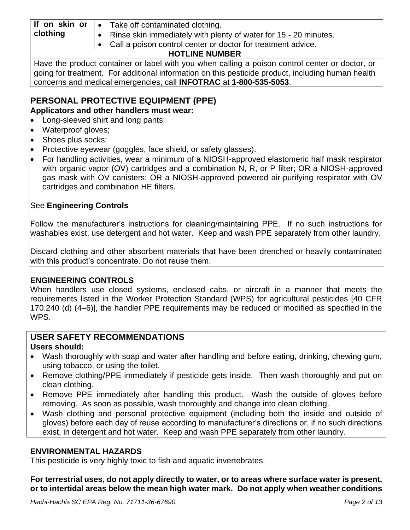| If on skin or $\cdot$ | Take off contaminated clothing.                                         |
|-----------------------|-------------------------------------------------------------------------|
| clothing              | $\sim$ Rinse skin immediately with plenty of water for 15 - 20 minutes. |
|                       | Call a poison control contor or doctor for troatmont advice             |

# bison control center or doctor for treatment advice

# **HOTLINE NUMBER**

Have the product container or label with you when calling a poison control center or doctor, or going for treatment. For additional information on this pesticide product, including human health concerns and medical emergencies, call **INFOTRAC** at **1-800-535-5053**.

### **PERSONAL PROTECTIVE EQUIPMENT (PPE) Applicators and other handlers must wear:**

- Long-sleeved shirt and long pants;
- Waterproof gloves;
- Shoes plus socks;
- Protective eyewear (goggles, face shield, or safety glasses).
- For handling activities, wear a minimum of a NIOSH-approved elastomeric half mask respirator with organic vapor (OV) cartridges and a combination N, R, or P filter; OR a NIOSH-approved gas mask with OV canisters; OR a NIOSH-approved powered air-purifying respirator with OV cartridges and combination HE filters.

# See **Engineering Controls**

Follow the manufacturer's instructions for cleaning/maintaining PPE. If no such instructions for washables exist, use detergent and hot water. Keep and wash PPE separately from other laundry.

Discard clothing and other absorbent materials that have been drenched or heavily contaminated with this product's concentrate. Do not reuse them.

## **ENGINEERING CONTROLS**

When handlers use closed systems, enclosed cabs, or aircraft in a manner that meets the requirements listed in the Worker Protection Standard (WPS) for agricultural pesticides [40 CFR 170.240 (d) (4–6)], the handler PPE requirements may be reduced or modified as specified in the WPS.

#### **USER SAFETY RECOMMENDATIONS Users should:**

- Wash thoroughly with soap and water after handling and before eating, drinking, chewing gum, using tobacco, or using the toilet.
- Remove clothing/PPE immediately if pesticide gets inside. Then wash thoroughly and put on clean clothing.
- Remove PPE immediately after handling this product. Wash the outside of gloves before removing. As soon as possible, wash thoroughly and change into clean clothing.
- Wash clothing and personal protective equipment (including both the inside and outside of gloves) before each day of reuse according to manufacturer's directions or, if no such directions exist, in detergent and hot water. Keep and wash PPE separately from other laundry.

## **ENVIRONMENTAL HAZARDS**

This pesticide is very highly toxic to fish and aquatic invertebrates.

**For terrestrial uses, do not apply directly to water, or to areas where surface water is present, or to intertidal areas below the mean high water mark. Do not apply when weather conditions**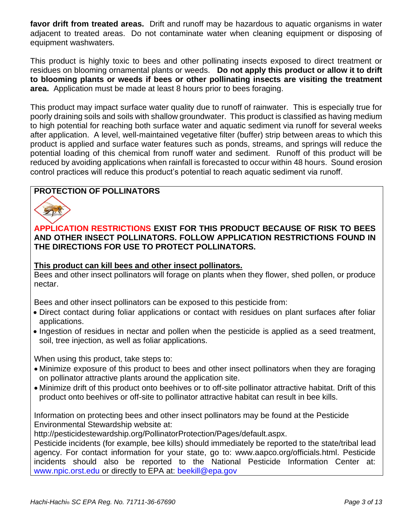**favor drift from treated areas.** Drift and runoff may be hazardous to aquatic organisms in water adjacent to treated areas. Do not contaminate water when cleaning equipment or disposing of equipment washwaters.

This product is highly toxic to bees and other pollinating insects exposed to direct treatment or residues on blooming ornamental plants or weeds. **Do not apply this product or allow it to drift to blooming plants or weeds if bees or other pollinating insects are visiting the treatment area.** Application must be made at least 8 hours prior to bees foraging.

This product may impact surface water quality due to runoff of rainwater. This is especially true for poorly draining soils and soils with shallow groundwater. This product is classified as having medium to high potential for reaching both surface water and aquatic sediment via runoff for several weeks after application. A level, well-maintained vegetative filter (buffer) strip between areas to which this product is applied and surface water features such as ponds, streams, and springs will reduce the potential loading of this chemical from runoff water and sediment. Runoff of this product will be reduced by avoiding applications when rainfall is forecasted to occur within 48 hours. Sound erosion control practices will reduce this product's potential to reach aquatic sediment via runoff.

## **PROTECTION OF POLLINATORS**



**APPLICATION RESTRICTIONS EXIST FOR THIS PRODUCT BECAUSE OF RISK TO BEES AND OTHER INSECT POLLINATORS. FOLLOW APPLICATION RESTRICTIONS FOUND IN THE DIRECTIONS FOR USE TO PROTECT POLLINATORS.**

#### **This product can kill bees and other insect pollinators.**

Bees and other insect pollinators will forage on plants when they flower, shed pollen, or produce nectar.

Bees and other insect pollinators can be exposed to this pesticide from:

- Direct contact during foliar applications or contact with residues on plant surfaces after foliar applications.
- Ingestion of residues in nectar and pollen when the pesticide is applied as a seed treatment, soil, tree injection, as well as foliar applications.

When using this product, take steps to:

- Minimize exposure of this product to bees and other insect pollinators when they are foraging on pollinator attractive plants around the application site.
- Minimize drift of this product onto beehives or to off-site pollinator attractive habitat. Drift of this product onto beehives or off-site to pollinator attractive habitat can result in bee kills.

Information on protecting bees and other insect pollinators may be found at the Pesticide Environmental Stewardship website at:

http://pesticidestewardship.org/PollinatorProtection/Pages/default.aspx.

Pesticide incidents (for example, bee kills) should immediately be reported to the state/tribal lead agency. For contact information for your state, go to: www.aapco.org/officials.html. Pesticide incidents should also be reported to the National Pesticide Information Center at: www.npic.orst.edu or directly to EPA at: beekill@epa.gov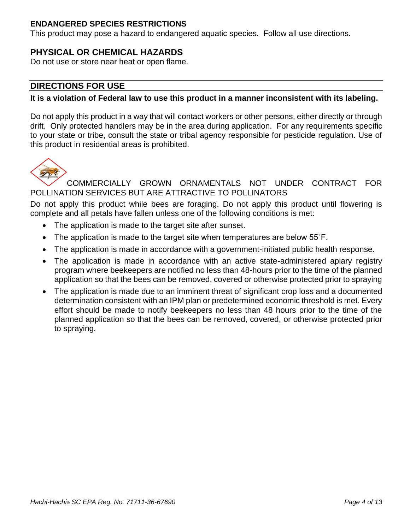## **ENDANGERED SPECIES RESTRICTIONS**

This product may pose a hazard to endangered aquatic species. Follow all use directions.

# **PHYSICAL OR CHEMICAL HAZARDS**

Do not use or store near heat or open flame.

# **DIRECTIONS FOR USE**

### **It is a violation of Federal law to use this product in a manner inconsistent with its labeling.**

Do not apply this product in a way that will contact workers or other persons, either directly or through drift. Only protected handlers may be in the area during application. For any requirements specific to your state or tribe, consult the state or tribal agency responsible for pesticide regulation. Use of this product in residential areas is prohibited.



## COMMERCIALLY GROWN ORNAMENTALS NOT UNDER CONTRACT FOR POLLINATION SERVICES BUT ARE ATTRACTIVE TO POLLINATORS

Do not apply this product while bees are foraging. Do not apply this product until flowering is complete and all petals have fallen unless one of the following conditions is met:

- The application is made to the target site after sunset.
- The application is made to the target site when temperatures are below 55°F.
- The application is made in accordance with a government-initiated public health response.
- The application is made in accordance with an active state-administered apiary registry program where beekeepers are notified no less than 48-hours prior to the time of the planned application so that the bees can be removed, covered or otherwise protected prior to spraying
- The application is made due to an imminent threat of significant crop loss and a documented determination consistent with an IPM plan or predetermined economic threshold is met. Every effort should be made to notify beekeepers no less than 48 hours prior to the time of the planned application so that the bees can be removed, covered, or otherwise protected prior to spraying.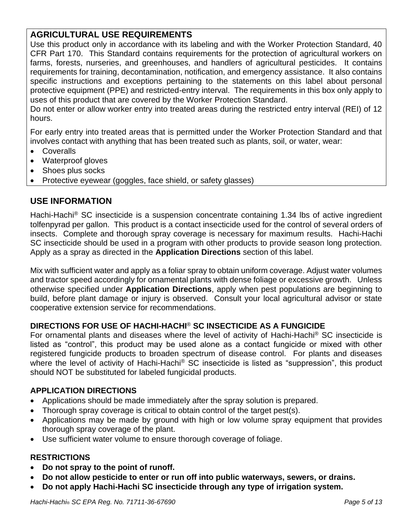# **AGRICULTURAL USE REQUIREMENTS**

Use this product only in accordance with its labeling and with the Worker Protection Standard, 40 CFR Part 170. This Standard contains requirements for the protection of agricultural workers on farms, forests, nurseries, and greenhouses, and handlers of agricultural pesticides. It contains requirements for training, decontamination, notification, and emergency assistance. It also contains specific instructions and exceptions pertaining to the statements on this label about personal protective equipment (PPE) and restricted-entry interval. The requirements in this box only apply to uses of this product that are covered by the Worker Protection Standard.

Do not enter or allow worker entry into treated areas during the restricted entry interval (REI) of 12 hours.

For early entry into treated areas that is permitted under the Worker Protection Standard and that involves contact with anything that has been treated such as plants, soil, or water, wear:

- Coveralls
- Waterproof gloves
- Shoes plus socks
- Protective eyewear (goggles, face shield, or safety glasses)

## **USE INFORMATION**

Hachi-Hachi<sup>®</sup> SC insecticide is a suspension concentrate containing 1.34 lbs of active ingredient tolfenpyrad per gallon. This product is a contact insecticide used for the control of several orders of insects. Complete and thorough spray coverage is necessary for maximum results. Hachi-Hachi SC insecticide should be used in a program with other products to provide season long protection. Apply as a spray as directed in the **Application Directions** section of this label.

Mix with sufficient water and apply as a foliar spray to obtain uniform coverage. Adjust water volumes and tractor speed accordingly for ornamental plants with dense foliage or excessive growth. Unless otherwise specified under **Application Directions**, apply when pest populations are beginning to build, before plant damage or injury is observed. Consult your local agricultural advisor or state cooperative extension service for recommendations.

## **DIRECTIONS FOR USE OF HACHI-HACHI**® **SC INSECTICIDE AS A FUNGICIDE**

For ornamental plants and diseases where the level of activity of Hachi-Hachi® SC insecticide is listed as "control", this product may be used alone as a contact fungicide or mixed with other registered fungicide products to broaden spectrum of disease control. For plants and diseases where the level of activity of Hachi-Hachi<sup>®</sup> SC insecticide is listed as "suppression", this product should NOT be substituted for labeled fungicidal products.

### **APPLICATION DIRECTIONS**

- Applications should be made immediately after the spray solution is prepared.
- Thorough spray coverage is critical to obtain control of the target pest(s).
- Applications may be made by ground with high or low volume spray equipment that provides thorough spray coverage of the plant.
- Use sufficient water volume to ensure thorough coverage of foliage.

### **RESTRICTIONS**

- **Do not spray to the point of runoff.**
- **Do not allow pesticide to enter or run off into public waterways, sewers, or drains.**
- **Do not apply Hachi-Hachi SC insecticide through any type of irrigation system.**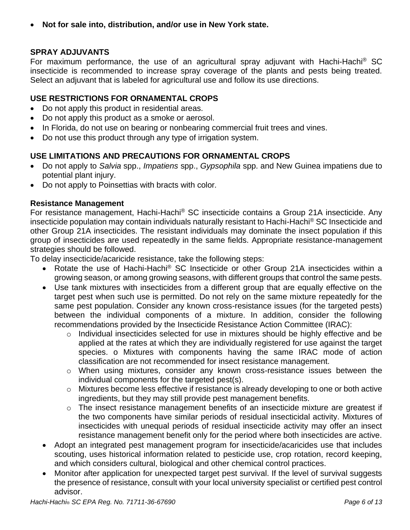• **Not for sale into, distribution, and/or use in New York state.**

## **SPRAY ADJUVANTS**

For maximum performance, the use of an agricultural spray adjuvant with Hachi-Hachi<sup>®</sup> SC insecticide is recommended to increase spray coverage of the plants and pests being treated. Select an adjuvant that is labeled for agricultural use and follow its use directions.

## **USE RESTRICTIONS FOR ORNAMENTAL CROPS**

- Do not apply this product in residential areas.
- Do not apply this product as a smoke or aerosol.
- In Florida, do not use on bearing or nonbearing commercial fruit trees and vines.
- Do not use this product through any type of irrigation system.

## **USE LIMITATIONS AND PRECAUTIONS FOR ORNAMENTAL CROPS**

- Do not apply to *Salvia* spp., *Impatiens* spp., *Gypsophila* spp. and New Guinea impatiens due to potential plant injury.
- Do not apply to Poinsettias with bracts with color*.*

### **Resistance Management**

For resistance management, Hachi-Hachi<sup>®</sup> SC insecticide contains a Group 21A insecticide. Any insecticide population may contain individuals naturally resistant to Hachi-Hachi® SC Insecticide and other Group 21A insecticides. The resistant individuals may dominate the insect population if this group of insecticides are used repeatedly in the same fields. Appropriate resistance-management strategies should be followed.

To delay insecticide/acaricide resistance, take the following steps:

- Rotate the use of Hachi-Hachi® SC Insecticide or other Group 21A insecticides within a growing season, or among growing seasons, with different groups that control the same pests.
- Use tank mixtures with insecticides from a different group that are equally effective on the target pest when such use is permitted. Do not rely on the same mixture repeatedly for the same pest population. Consider any known cross-resistance issues (for the targeted pests) between the individual components of a mixture. In addition, consider the following recommendations provided by the Insecticide Resistance Action Committee (IRAC):
	- o Individual insecticides selected for use in mixtures should be highly effective and be applied at the rates at which they are individually registered for use against the target species. o Mixtures with components having the same IRAC mode of action classification are not recommended for insect resistance management.
	- o When using mixtures, consider any known cross-resistance issues between the individual components for the targeted pest(s).
	- o Mixtures become less effective if resistance is already developing to one or both active ingredients, but they may still provide pest management benefits.
	- o The insect resistance management benefits of an insecticide mixture are greatest if the two components have similar periods of residual insecticidal activity. Mixtures of insecticides with unequal periods of residual insecticide activity may offer an insect resistance management benefit only for the period where both insecticides are active.
- Adopt an integrated pest management program for insecticide/acaricides use that includes scouting, uses historical information related to pesticide use, crop rotation, record keeping, and which considers cultural, biological and other chemical control practices.
- Monitor after application for unexpected target pest survival. If the level of survival suggests the presence of resistance, consult with your local university specialist or certified pest control advisor.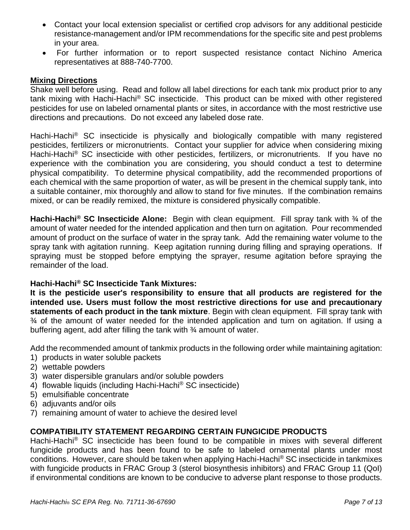- Contact your local extension specialist or certified crop advisors for any additional pesticide resistance-management and/or IPM recommendations for the specific site and pest problems in your area.
- For further information or to report suspected resistance contact Nichino America representatives at 888-740-7700.

#### **Mixing Directions**

Shake well before using. Read and follow all label directions for each tank mix product prior to any tank mixing with Hachi-Hachi® SC insecticide. This product can be mixed with other registered pesticides for use on labeled ornamental plants or sites, in accordance with the most restrictive use directions and precautions. Do not exceed any labeled dose rate.

Hachi-Hachi<sup>®</sup> SC insecticide is physically and biologically compatible with many registered pesticides, fertilizers or micronutrients. Contact your supplier for advice when considering mixing Hachi-Hachi<sup>®</sup> SC insecticide with other pesticides, fertilizers, or micronutrients. If you have no experience with the combination you are considering, you should conduct a test to determine physical compatibility. To determine physical compatibility, add the recommended proportions of each chemical with the same proportion of water, as will be present in the chemical supply tank, into a suitable container, mix thoroughly and allow to stand for five minutes. If the combination remains mixed, or can be readily remixed, the mixture is considered physically compatible.

**Hachi-Hachi® SC Insecticide Alone:** Begin with clean equipment. Fill spray tank with ¾ of the amount of water needed for the intended application and then turn on agitation. Pour recommended amount of product on the surface of water in the spray tank. Add the remaining water volume to the spray tank with agitation running. Keep agitation running during filling and spraying operations. If spraying must be stopped before emptying the sprayer, resume agitation before spraying the remainder of the load.

### **Hachi-Hachi® SC Insecticide Tank Mixtures:**

**It is the pesticide user's responsibility to ensure that all products are registered for the intended use. Users must follow the most restrictive directions for use and precautionary statements of each product in the tank mixture**. Begin with clean equipment. Fill spray tank with ¾ of the amount of water needed for the intended application and turn on agitation. If using a buffering agent, add after filling the tank with ¾ amount of water.

Add the recommended amount of tankmix products in the following order while maintaining agitation:

- 1) products in water soluble packets
- 2) wettable powders
- 3) water dispersible granulars and/or soluble powders
- 4) flowable liquids (including Hachi-Hachi® SC insecticide)
- 5) emulsifiable concentrate
- 6) adjuvants and/or oils
- 7) remaining amount of water to achieve the desired level

## **COMPATIBILITY STATEMENT REGARDING CERTAIN FUNGICIDE PRODUCTS**

Hachi-Hachi<sup>®</sup> SC insecticide has been found to be compatible in mixes with several different fungicide products and has been found to be safe to labeled ornamental plants under most conditions. However, care should be taken when applying Hachi-Hachi® SC insecticide in tankmixes with fungicide products in FRAC Group 3 (sterol biosynthesis inhibitors) and FRAC Group 11 (QoI) if environmental conditions are known to be conducive to adverse plant response to those products.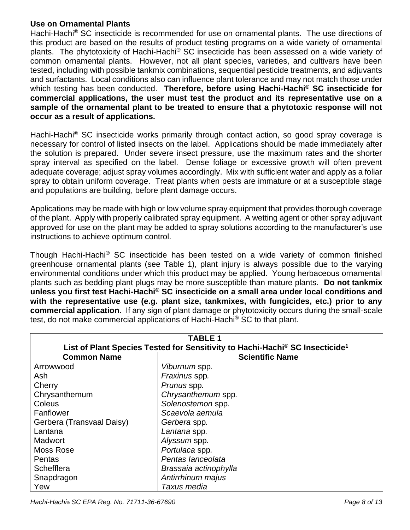## **Use on Ornamental Plants**

Hachi-Hachi<sup>®</sup> SC insecticide is recommended for use on ornamental plants. The use directions of this product are based on the results of product testing programs on a wide variety of ornamental plants. The phytotoxicity of Hachi-Hachi® SC insecticide has been assessed on a wide variety of common ornamental plants. However, not all plant species, varieties, and cultivars have been tested, including with possible tankmix combinations, sequential pesticide treatments, and adjuvants and surfactants. Local conditions also can influence plant tolerance and may not match those under which testing has been conducted. **Therefore, before using Hachi-Hachi® SC insecticide for commercial applications, the user must test the product and its representative use on a sample of the ornamental plant to be treated to ensure that a phytotoxic response will not occur as a result of applications.**

Hachi-Hachi<sup>®</sup> SC insecticide works primarily through contact action, so good spray coverage is necessary for control of listed insects on the label. Applications should be made immediately after the solution is prepared. Under severe insect pressure, use the maximum rates and the shorter spray interval as specified on the label. Dense foliage or excessive growth will often prevent adequate coverage; adjust spray volumes accordingly. Mix with sufficient water and apply as a foliar spray to obtain uniform coverage. Treat plants when pests are immature or at a susceptible stage and populations are building, before plant damage occurs.

Applications may be made with high or low volume spray equipment that provides thorough coverage of the plant. Apply with properly calibrated spray equipment. A wetting agent or other spray adjuvant approved for use on the plant may be added to spray solutions according to the manufacturer's use instructions to achieve optimum control.

Though Hachi-Hachi® SC insecticide has been tested on a wide variety of common finished greenhouse ornamental plants (see Table 1), plant injury is always possible due to the varying environmental conditions under which this product may be applied. Young herbaceous ornamental plants such as bedding plant plugs may be more susceptible than mature plants. **Do not tankmix unless you first test Hachi-Hachi® SC insecticide on a small area under local conditions and with the representative use (e.g. plant size, tankmixes, with fungicides, etc.) prior to any commercial application**. If any sign of plant damage or phytotoxicity occurs during the small-scale test, do not make commercial applications of Hachi-Hachi® SC to that plant.

| <b>TABLE 1</b>                                                                                                                           |                       |  |
|------------------------------------------------------------------------------------------------------------------------------------------|-----------------------|--|
| List of Plant Species Tested for Sensitivity to Hachi-Hachi® SC Insecticide <sup>1</sup><br><b>Common Name</b><br><b>Scientific Name</b> |                       |  |
| Arrowwood                                                                                                                                | Viburnum spp.         |  |
| Ash                                                                                                                                      | Fraxinus spp.         |  |
| Cherry                                                                                                                                   | Prunus spp.           |  |
| Chrysanthemum                                                                                                                            | Chrysanthemum spp.    |  |
| Coleus                                                                                                                                   | Solenostemon spp.     |  |
| Fanflower                                                                                                                                | Scaevola aemula       |  |
| Gerbera (Transvaal Daisy)                                                                                                                | Gerbera spp.          |  |
| Lantana                                                                                                                                  | Lantana spp.          |  |
| Madwort                                                                                                                                  | Alyssum spp.          |  |
| Moss Rose                                                                                                                                | Portulaca spp.        |  |
| Pentas                                                                                                                                   | Pentas lanceolata     |  |
| Schefflera                                                                                                                               | Brassaia actinophylla |  |
| Snapdragon                                                                                                                               | Antirrhinum majus     |  |
| Yew                                                                                                                                      | Taxus media           |  |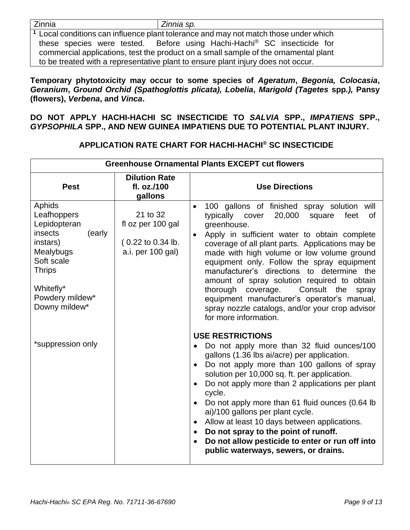Zinnia *Zinnia sp.*

**<sup>1</sup>** Local conditions can influence plant tolerance and may not match those under which these species were tested. Before using Hachi-Hachi® SC insecticide for commercial applications, test the product on a small sample of the ornamental plant to be treated with a representative plant to ensure plant injury does not occur.

**Temporary phytotoxicity may occur to some species of** *Ageratum***,** *Begonia, Colocasia***,**  *Geranium***,** *Ground Orchid (Spathoglottis plicata), Lobelia***,** *Marigold (Tagetes* **spp***.),* **Pansy (flowers),** *Verbena***, and** *Vinca***.** 

**DO NOT APPLY HACHI-HACHI SC INSECTICIDE TO** *SALVIA* **SPP.,** *IMPATIENS* **SPP.,**  *GYPSOPHILA* **SPP., AND NEW GUINEA IMPATIENS DUE TO POTENTIAL PLANT INJURY.**

| <b>Greenhouse Ornamental Plants EXCEPT cut flowers</b>                                                                                                                                   |                                                                         |                                                                                                                                                                                                                                                                                                                                                                                                                                                                                                                                                                                                                                                                                                                                                                                                                                                                                                                                                                                                               |
|------------------------------------------------------------------------------------------------------------------------------------------------------------------------------------------|-------------------------------------------------------------------------|---------------------------------------------------------------------------------------------------------------------------------------------------------------------------------------------------------------------------------------------------------------------------------------------------------------------------------------------------------------------------------------------------------------------------------------------------------------------------------------------------------------------------------------------------------------------------------------------------------------------------------------------------------------------------------------------------------------------------------------------------------------------------------------------------------------------------------------------------------------------------------------------------------------------------------------------------------------------------------------------------------------|
| <b>Pest</b>                                                                                                                                                                              | <b>Dilution Rate</b><br>fl. oz./100<br>gallons                          | <b>Use Directions</b>                                                                                                                                                                                                                                                                                                                                                                                                                                                                                                                                                                                                                                                                                                                                                                                                                                                                                                                                                                                         |
| Aphids<br>Leafhoppers<br>Lepidopteran<br>insects<br>(early<br>instars)<br>Mealybugs<br>Soft scale<br><b>Thrips</b><br>Whitefly*<br>Powdery mildew*<br>Downy mildew*<br>*suppression only | 21 to 32<br>fl oz per 100 gal<br>(0.22 to 0.34 lb.<br>a.i. per 100 gal) | 100 gallons of finished spray solution will<br>$\bullet$<br>20,000<br>typically<br>cover<br>square<br>feet<br>of<br>greenhouse.<br>Apply in sufficient water to obtain complete<br>coverage of all plant parts. Applications may be<br>made with high volume or low volume ground<br>equipment only. Follow the spray equipment<br>manufacturer's directions to determine the<br>amount of spray solution required to obtain<br>thorough<br>coverage.<br>Consult the<br>spray<br>equipment manufacturer's operator's manual,<br>spray nozzle catalogs, and/or your crop advisor<br>for more information.<br><b>USE RESTRICTIONS</b><br>Do not apply more than 32 fluid ounces/100<br>gallons (1.36 lbs ai/acre) per application.<br>Do not apply more than 100 gallons of spray<br>$\bullet$<br>solution per 10,000 sq. ft. per application.<br>Do not apply more than 2 applications per plant<br>cycle.<br>Do not apply more than 61 fluid ounces (0.64 lb<br>$\bullet$<br>ai)/100 gallons per plant cycle. |
|                                                                                                                                                                                          |                                                                         | Allow at least 10 days between applications.<br>Do not spray to the point of runoff.<br>$\bullet$<br>Do not allow pesticide to enter or run off into<br>public waterways, sewers, or drains.                                                                                                                                                                                                                                                                                                                                                                                                                                                                                                                                                                                                                                                                                                                                                                                                                  |

## **APPLICATION RATE CHART FOR HACHI-HACHI® SC INSECTICIDE**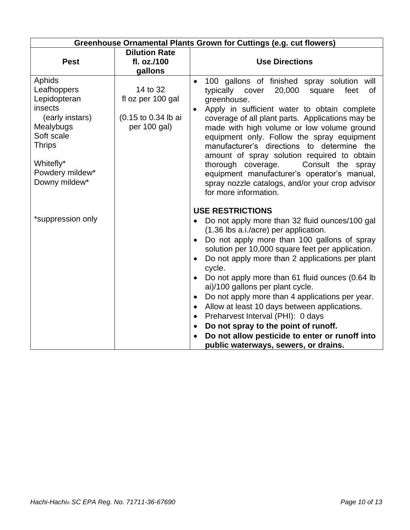| Greenhouse Ornamental Plants Grown for Cuttings (e.g. cut flowers)                                                                                               |                                                                      |                                                                                                                                                                                                                                                                                                                                                                                                                                                                                                                                                                                                                                                                                                                      |
|------------------------------------------------------------------------------------------------------------------------------------------------------------------|----------------------------------------------------------------------|----------------------------------------------------------------------------------------------------------------------------------------------------------------------------------------------------------------------------------------------------------------------------------------------------------------------------------------------------------------------------------------------------------------------------------------------------------------------------------------------------------------------------------------------------------------------------------------------------------------------------------------------------------------------------------------------------------------------|
| <b>Pest</b>                                                                                                                                                      | <b>Dilution Rate</b><br>fl. oz./100<br>gallons                       | <b>Use Directions</b>                                                                                                                                                                                                                                                                                                                                                                                                                                                                                                                                                                                                                                                                                                |
| Aphids<br>Leafhoppers<br>Lepidopteran<br>insects<br>(early instars)<br>Mealybugs<br>Soft scale<br><b>Thrips</b><br>Whitefly*<br>Powdery mildew*<br>Downy mildew* | 14 to 32<br>fl oz per 100 gal<br>(0.15 to 0.34 lb ai<br>per 100 gal) | 100 gallons of finished spray solution will<br>typically cover<br>20,000<br>feet<br>square<br>0f<br>greenhouse.<br>Apply in sufficient water to obtain complete<br>$\bullet$<br>coverage of all plant parts. Applications may be<br>made with high volume or low volume ground<br>equipment only. Follow the spray equipment<br>manufacturer's directions to determine the<br>amount of spray solution required to obtain<br>thorough coverage.<br>Consult the spray<br>equipment manufacturer's operator's manual,<br>spray nozzle catalogs, and/or your crop advisor<br>for more information.                                                                                                                      |
| *suppression only                                                                                                                                                |                                                                      | <b>USE RESTRICTIONS</b><br>Do not apply more than 32 fluid ounces/100 gal<br>(1.36 lbs a.i./acre) per application.<br>Do not apply more than 100 gallons of spray<br>$\bullet$<br>solution per 10,000 square feet per application.<br>Do not apply more than 2 applications per plant<br>cycle.<br>Do not apply more than 61 fluid ounces (0.64 lb<br>$\bullet$<br>ai)/100 gallons per plant cycle.<br>Do not apply more than 4 applications per year.<br>$\bullet$<br>Allow at least 10 days between applications.<br>$\bullet$<br>Preharvest Interval (PHI): 0 days<br>$\bullet$<br>Do not spray to the point of runoff.<br>Do not allow pesticide to enter or runoff into<br>public waterways, sewers, or drains. |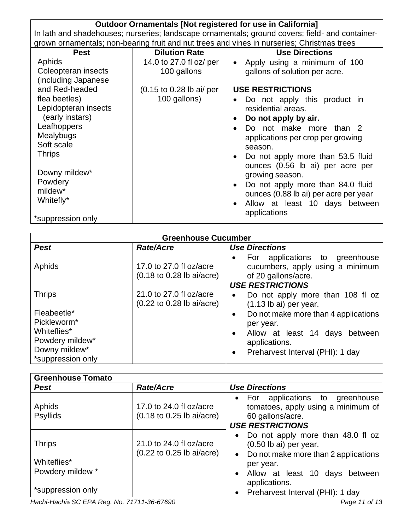| Outdoor Ornamentals [Not registered for use in California]                                      |                          |                                                                                            |
|-------------------------------------------------------------------------------------------------|--------------------------|--------------------------------------------------------------------------------------------|
| In lath and shadehouses; nurseries; landscape ornamentals; ground covers; field- and container- |                          |                                                                                            |
|                                                                                                 |                          | grown ornamentals; non-bearing fruit and nut trees and vines in nurseries; Christmas trees |
| <b>Pest</b>                                                                                     | <b>Dilution Rate</b>     | <b>Use Directions</b>                                                                      |
| Aphids                                                                                          | 14.0 to 27.0 fl oz/ per  | Apply using a minimum of 100<br>$\bullet$                                                  |
| Coleopteran insects                                                                             | 100 gallons              | gallons of solution per acre.                                                              |
| (including Japanese                                                                             |                          |                                                                                            |
| and Red-headed                                                                                  | (0.15 to 0.28 lb ai/ per | <b>USE RESTRICTIONS</b>                                                                    |
| flea beetles)                                                                                   | 100 gallons)             | Do not apply this product in                                                               |
| Lepidopteran insects                                                                            |                          | residential areas.                                                                         |
| (early instars)                                                                                 |                          | Do not apply by air.                                                                       |
| Leafhoppers                                                                                     |                          | Do not make more than 2<br>$\bullet$                                                       |
| Mealybugs                                                                                       |                          | applications per crop per growing                                                          |
| Soft scale                                                                                      |                          | season.                                                                                    |
| <b>Thrips</b>                                                                                   |                          | Do not apply more than 53.5 fluid<br>$\bullet$                                             |
|                                                                                                 |                          | ounces (0.56 lb ai) per acre per                                                           |
| Downy mildew*                                                                                   |                          | growing season.                                                                            |
| Powdery                                                                                         |                          |                                                                                            |
| mildew*                                                                                         |                          | Do not apply more than 84.0 fluid<br>$\bullet$                                             |
| Whitefly*                                                                                       |                          | ounces (0.88 lb ai) per acre per year                                                      |
|                                                                                                 |                          | Allow at least 10 days between                                                             |
| *suppression only                                                                               |                          | applications                                                                               |

| <b>Greenhouse Cucumber</b>                                                                                          |                                                                                 |                                                                                                                                                                                                                                                                                         |
|---------------------------------------------------------------------------------------------------------------------|---------------------------------------------------------------------------------|-----------------------------------------------------------------------------------------------------------------------------------------------------------------------------------------------------------------------------------------------------------------------------------------|
| <b>Pest</b>                                                                                                         | <b>Rate/Acre</b>                                                                | <b>Use Directions</b>                                                                                                                                                                                                                                                                   |
| Aphids                                                                                                              | 17.0 to 27.0 fl oz/acre<br>$(0.18 \text{ to } 0.28 \text{ lb } \text{ai/acre})$ | For applications to greenhouse<br>$\bullet$<br>cucumbers, apply using a minimum<br>of 20 gallons/acre.                                                                                                                                                                                  |
| <b>Thrips</b><br>Fleabeetle*<br>Pickleworm*<br>Whiteflies*<br>Powdery mildew*<br>Downy mildew*<br>*suppression only | 21.0 to 27.0 fl oz/acre<br>$(0.22 \text{ to } 0.28 \text{ lb } \text{ai/acre})$ | <b>USE RESTRICTIONS</b><br>Do not apply more than 108 fl oz<br>$\bullet$<br>$(1.13$ lb ai) per year.<br>Do not make more than 4 applications<br>$\bullet$<br>per year.<br>Allow at least 14 days between<br>$\bullet$<br>applications.<br>Preharvest Interval (PHI): 1 day<br>$\bullet$ |

| <b>Greenhouse Tomato</b>                                              |                                                                                 |                                                                                                                                                                                                                 |
|-----------------------------------------------------------------------|---------------------------------------------------------------------------------|-----------------------------------------------------------------------------------------------------------------------------------------------------------------------------------------------------------------|
| <b>Pest</b>                                                           | <b>Rate/Acre</b>                                                                | <b>Use Directions</b>                                                                                                                                                                                           |
| Aphids<br><b>Psyllids</b>                                             | 17.0 to 24.0 fl oz/acre<br>$(0.18 \text{ to } 0.25 \text{ lb } \text{ai/acre})$ | • For applications to greenhouse<br>tomatoes, apply using a minimum of<br>60 gallons/acre.<br><b>USE RESTRICTIONS</b>                                                                                           |
| <b>Thrips</b><br>Whiteflies*<br>Powdery mildew *<br>*suppression only | 21.0 to 24.0 fl oz/acre<br>$(0.22 \text{ to } 0.25 \text{ lb } \text{ai/acre})$ | • Do not apply more than 48.0 fl oz<br>$(0.50$ lb ai) per year.<br>• Do not make more than 2 applications<br>per year.<br>Allow at least 10 days between<br>applications.<br>• Preharvest Interval (PHI): 1 day |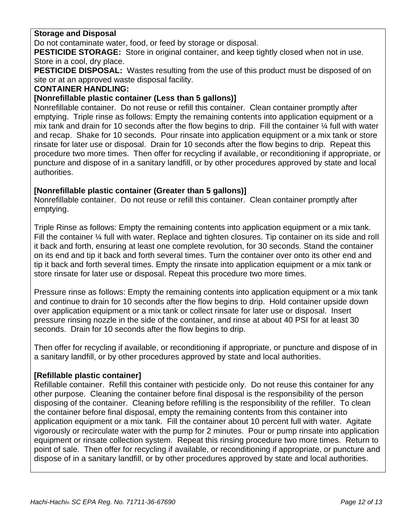## **Storage and Disposal**

Do not contaminate water, food, or feed by storage or disposal.

**PESTICIDE STORAGE:** Store in original container, and keep tightly closed when not in use. Store in a cool, dry place.

**PESTICIDE DISPOSAL:** Wastes resulting from the use of this product must be disposed of on site or at an approved waste disposal facility.

### **CONTAINER HANDLING:**

## **[Nonrefillable plastic container (Less than 5 gallons)]**

Nonrefillable container. Do not reuse or refill this container. Clean container promptly after emptying. Triple rinse as follows: Empty the remaining contents into application equipment or a mix tank and drain for 10 seconds after the flow begins to drip. Fill the container  $\frac{1}{4}$  full with water and recap. Shake for 10 seconds. Pour rinsate into application equipment or a mix tank or store rinsate for later use or disposal. Drain for 10 seconds after the flow begins to drip. Repeat this procedure two more times. Then offer for recycling if available, or reconditioning if appropriate, or puncture and dispose of in a sanitary landfill, or by other procedures approved by state and local authorities.

## **[Nonrefillable plastic container (Greater than 5 gallons)]**

Nonrefillable container. Do not reuse or refill this container. Clean container promptly after emptying.

Triple Rinse as follows: Empty the remaining contents into application equipment or a mix tank. Fill the container  $\frac{1}{4}$  full with water. Replace and tighten closures. Tip container on its side and roll it back and forth, ensuring at least one complete revolution, for 30 seconds. Stand the container on its end and tip it back and forth several times. Turn the container over onto its other end and tip it back and forth several times. Empty the rinsate into application equipment or a mix tank or store rinsate for later use or disposal. Repeat this procedure two more times.

Pressure rinse as follows: Empty the remaining contents into application equipment or a mix tank and continue to drain for 10 seconds after the flow begins to drip. Hold container upside down over application equipment or a mix tank or collect rinsate for later use or disposal. Insert pressure rinsing nozzle in the side of the container, and rinse at about 40 PSI for at least 30 seconds. Drain for 10 seconds after the flow begins to drip.

Then offer for recycling if available, or reconditioning if appropriate, or puncture and dispose of in a sanitary landfill, or by other procedures approved by state and local authorities.

### **[Refillable plastic container]**

Refillable container. Refill this container with pesticide only. Do not reuse this container for any other purpose. Cleaning the container before final disposal is the responsibility of the person disposing of the container. Cleaning before refilling is the responsibility of the refiller. To clean the container before final disposal, empty the remaining contents from this container into application equipment or a mix tank. Fill the container about 10 percent full with water. Agitate vigorously or recirculate water with the pump for 2 minutes. Pour or pump rinsate into application equipment or rinsate collection system. Repeat this rinsing procedure two more times. Return to point of sale. Then offer for recycling if available, or reconditioning if appropriate, or puncture and dispose of in a sanitary landfill, or by other procedures approved by state and local authorities.